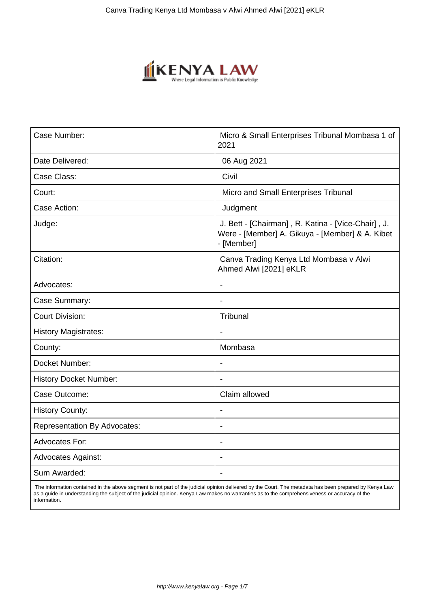

| Case Number:                        | Micro & Small Enterprises Tribunal Mombasa 1 of<br>2021                                                             |
|-------------------------------------|---------------------------------------------------------------------------------------------------------------------|
| Date Delivered:                     | 06 Aug 2021                                                                                                         |
| Case Class:                         | Civil                                                                                                               |
| Court:                              | Micro and Small Enterprises Tribunal                                                                                |
| Case Action:                        | Judgment                                                                                                            |
| Judge:                              | J. Bett - [Chairman], R. Katina - [Vice-Chair], J.<br>Were - [Member] A. Gikuya - [Member] & A. Kibet<br>- [Member] |
| Citation:                           | Canva Trading Kenya Ltd Mombasa v Alwi<br>Ahmed Alwi [2021] eKLR                                                    |
| Advocates:                          | L.                                                                                                                  |
| Case Summary:                       | $\blacksquare$                                                                                                      |
| <b>Court Division:</b>              | Tribunal                                                                                                            |
| <b>History Magistrates:</b>         |                                                                                                                     |
| County:                             | Mombasa                                                                                                             |
| Docket Number:                      | Ĭ.                                                                                                                  |
| <b>History Docket Number:</b>       |                                                                                                                     |
| Case Outcome:                       | Claim allowed                                                                                                       |
| <b>History County:</b>              |                                                                                                                     |
| <b>Representation By Advocates:</b> | $\blacksquare$                                                                                                      |
| <b>Advocates For:</b>               |                                                                                                                     |
| <b>Advocates Against:</b>           |                                                                                                                     |
| Sum Awarded:                        | $\blacksquare$                                                                                                      |

 The information contained in the above segment is not part of the judicial opinion delivered by the Court. The metadata has been prepared by Kenya Law as a guide in understanding the subject of the judicial opinion. Kenya Law makes no warranties as to the comprehensiveness or accuracy of the information.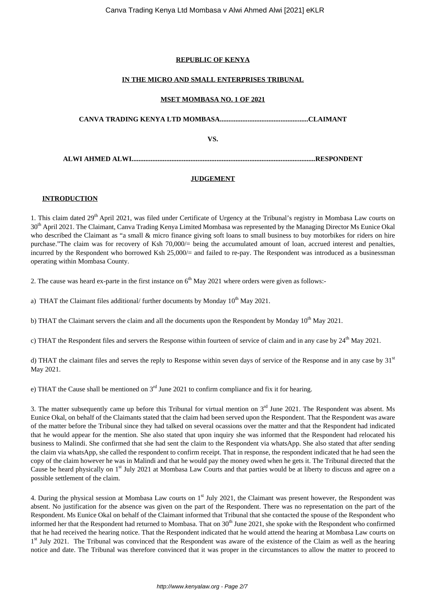# **REPUBLIC OF KENYA**

## **IN THE MICRO AND SMALL ENTERPRISES TRIBUNAL**

## **MSET MOMBASA NO. 1 OF 2021**

**CANVA TRADING KENYA LTD MOMBASA...................................................CLAIMANT**

**VS.**

**ALWI AHMED ALWI..........................................................................................................RESPONDENT**

#### **JUDGEMENT**

## **INTRODUCTION**

1. This claim dated 29<sup>th</sup> April 2021, was filed under Certificate of Urgency at the Tribunal's registry in Mombasa Law courts on  $30<sup>th</sup>$  April 2021. The Claimant, Canva Trading Kenya Limited Mombasa was represented by the Managing Director Ms Eunice Okal who described the Claimant as "a small & micro finance giving soft loans to small business to buy motorbikes for riders on hire purchase."The claim was for recovery of Ksh 70,000/= being the accumulated amount of loan, accrued interest and penalties, incurred by the Respondent who borrowed Ksh 25,000/= and failed to re-pay. The Respondent was introduced as a businessman operating within Mombasa County.

2. The cause was heard ex-parte in the first instance on  $6<sup>th</sup>$  May 2021 where orders were given as follows:-

a) THAT the Claimant files additional/ further documents by Monday  $10^{th}$  May 2021.

b) THAT the Claimant servers the claim and all the documents upon the Respondent by Monday  $10^{th}$  May 2021.

c) THAT the Respondent files and servers the Response within fourteen of service of claim and in any case by  $24<sup>th</sup>$  May 2021.

d) THAT the claimant files and serves the reply to Response within seven days of service of the Response and in any case by  $31<sup>st</sup>$ May 2021.

e) THAT the Cause shall be mentioned on  $3<sup>rd</sup>$  June 2021 to confirm compliance and fix it for hearing.

3. The matter subsequently came up before this Tribunal for virtual mention on  $3<sup>rd</sup>$  June 2021. The Respondent was absent. Ms Eunice Okal, on behalf of the Claimants stated that the claim had been served upon the Respondent. That the Respondent was aware of the matter before the Tribunal since they had talked on several ocassions over the matter and that the Respondent had indicated that he would appear for the mention. She also stated that upon inquiry she was informed that the Respondent had relocated his business to Malindi. She confirmed that she had sent the claim to the Respondent via whatsApp. She also stated that after sending the claim via whatsApp, she called the respondent to confirm receipt. That in response, the respondent indicated that he had seen the copy of the claim however he was in Malindi and that he would pay the money owed when he gets it. The Tribunal directed that the Cause be heard physically on 1<sup>st</sup> July 2021 at Mombasa Law Courts and that parties would be at liberty to discuss and agree on a possible settlement of the claim.

4. During the physical session at Mombasa Law courts on 1<sup>st</sup> July 2021, the Claimant was present however, the Respondent was absent. No justification for the absence was given on the part of the Respondent. There was no representation on the part of the Respondent. Ms Eunice Okal on behalf of the Claimant informed that Tribunal that she contacted the spouse of the Respondent who informed her that the Respondent had returned to Mombasa. That on  $30<sup>th</sup>$  June 2021, she spoke with the Respondent who confirmed that he had received the hearing notice. That the Respondent indicated that he would attend the hearing at Mombasa Law courts on 1<sup>st</sup> July 2021. The Tribunal was convinced that the Respondent was aware of the existence of the Claim as well as the hearing notice and date. The Tribunal was therefore convinced that it was proper in the circumstances to allow the matter to proceed to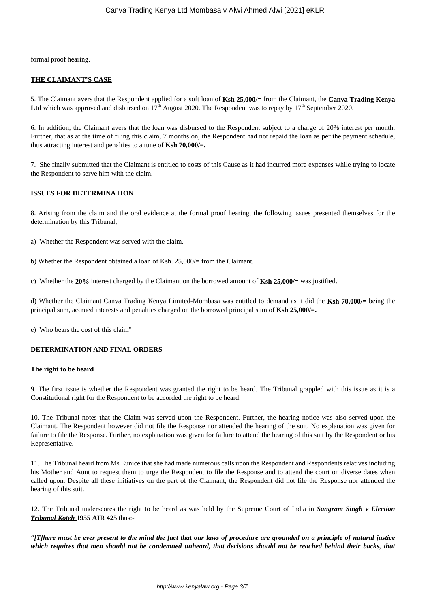formal proof hearing.

#### **THE CLAIMANT'S CASE**

5. The Claimant avers that the Respondent applied for a soft loan of **Ksh 25,000/=** from the Claimant, the **Canva Trading Kenya** Ltd which was approved and disbursed on 17<sup>th</sup> August 2020. The Respondent was to repay by 17<sup>th</sup> September 2020.

6. In addition, the Claimant avers that the loan was disbursed to the Respondent subject to a charge of 20% interest per month. Further, that as at the time of filing this claim, 7 months on, the Respondent had not repaid the loan as per the payment schedule, thus attracting interest and penalties to a tune of **Ksh 70,000/=.**

7. She finally submitted that the Claimant is entitled to costs of this Cause as it had incurred more expenses while trying to locate the Respondent to serve him with the claim.

# **ISSUES FOR DETERMINATION**

8. Arising from the claim and the oral evidence at the formal proof hearing, the following issues presented themselves for the determination by this Tribunal;

a) Whether the Respondent was served with the claim.

b) Whether the Respondent obtained a loan of Ksh. 25,000/= from the Claimant.

c) Whether the **20%** interest charged by the Claimant on the borrowed amount of **Ksh 25,000/=** was justified.

d) Whether the Claimant Canva Trading Kenya Limited-Mombasa was entitled to demand as it did the **Ksh 70,000/=** being the principal sum, accrued interests and penalties charged on the borrowed principal sum of **Ksh 25,000/=.**

e) Who bears the cost of this claim"

## **DETERMINATION AND FINAL ORDERS**

#### **The right to be heard**

9. The first issue is whether the Respondent was granted the right to be heard. The Tribunal grappled with this issue as it is a Constitutional right for the Respondent to be accorded the right to be heard.

10. The Tribunal notes that the Claim was served upon the Respondent. Further, the hearing notice was also served upon the Claimant. The Respondent however did not file the Response nor attended the hearing of the suit. No explanation was given for failure to file the Response. Further, no explanation was given for failure to attend the hearing of this suit by the Respondent or his Representative.

11. The Tribunal heard from Ms Eunice that she had made numerous calls upon the Respondent and Respondents relatives including his Mother and Aunt to request them to urge the Respondent to file the Response and to attend the court on diverse dates when called upon. Despite all these initiatives on the part of the Claimant, the Respondent did not file the Response nor attended the hearing of this suit.

12. The Tribunal underscores the right to be heard as was held by the Supreme Court of India in *Sangram Singh v Election Tribunal Koteh* **1955 AIR 425** thus:-

*"[T]here must be ever present to the mind the fact that our laws of procedure are grounded on a principle of natural justice which requires that men should not be condemned unheard, that decisions should not be reached behind their backs, that*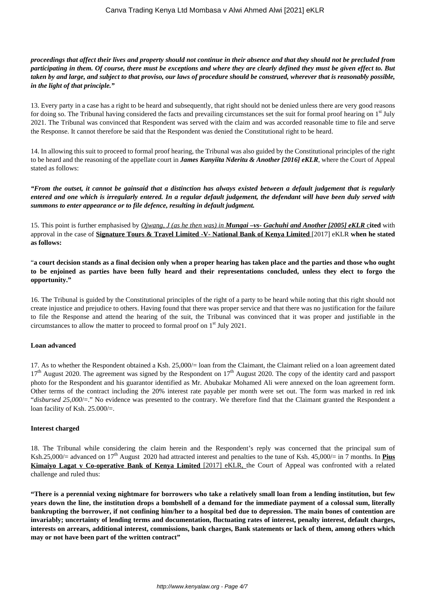*proceedings that affect their lives and property should not continue in their absence and that they should not be precluded from participating in them. Of course, there must be exceptions and where they are clearly defined they must be given effect to. But taken by and large, and subject to that proviso, our laws of procedure should be construed, wherever that is reasonably possible, in the light of that principle."*

13. Every party in a case has a right to be heard and subsequently, that right should not be denied unless there are very good reasons for doing so. The Tribunal having considered the facts and prevailing circumstances set the suit for formal proof hearing on 1st July 2021. The Tribunal was convinced that Respondent was served with the claim and was accorded reasonable time to file and serve the Response. It cannot therefore be said that the Respondent was denied the Constitutional right to be heard.

14. In allowing this suit to proceed to formal proof hearing, the Tribunal was also guided by the Constitutional principles of the right to be heard and the reasoning of the appellate court in *James Kanyiita Nderitu & Another [2016] eKLR*, where the Court of Appeal stated as follows:

*"From the outset, it cannot be gainsaid that a distinction has always existed between a default judgement that is regularly entered and one which is irregularly entered. In a regular default judgement, the defendant will have been duly served with summons to enter appearance or to file defence, resulting in default judgment.*

15. This point is further emphasised by *Ojwang, J (as he then was) in Mungai –vs- Gachuhi and Another [2005] eKLR* c**ited** with approval in the case of **Signature Tours & Travel Limited -V- National Bank of Kenya Limited** [2017] eKLR **when he stated as follows:** 

"**a court decision stands as a final decision only when a proper hearing has taken place and the parties and those who ought to be enjoined as parties have been fully heard and their representations concluded, unless they elect to forgo the opportunity."**

16. The Tribunal is guided by the Constitutional principles of the right of a party to be heard while noting that this right should not create injustice and prejudice to others. Having found that there was proper service and that there was no justification for the failure to file the Response and attend the hearing of the suit, the Tribunal was convinced that it was proper and justifiable in the circumstances to allow the matter to proceed to formal proof on 1st July 2021.

## **Loan advanced**

17. As to whether the Respondent obtained a Ksh. 25,000/= loan from the Claimant, the Claimant relied on a loan agreement dated  $17<sup>th</sup>$  August 2020. The agreement was signed by the Respondent on  $17<sup>th</sup>$  August 2020. The copy of the identity card and passport photo for the Respondent and his guarantor identified as Mr. Abubakar Mohamed Ali were annexed on the loan agreement form. Other terms of the contract including the 20% interest rate payable per month were set out. The form was marked in red ink "*disbursed 25,000*/=." No evidence was presented to the contrary. We therefore find that the Claimant granted the Respondent a loan facility of Ksh. 25.000/=.

## **Interest charged**

18. The Tribunal while considering the claim herein and the Respondent's reply was concerned that the principal sum of Ksh.25,000/= advanced on  $17<sup>th</sup>$  August 2020 had attracted interest and penalties to the tune of Ksh. 45,000/= in 7 months. In **Pius Kimaiyo Lagat v Co-operative Bank of Kenya Limited** [2017] eKLR, the Court of Appeal was confronted with a related challenge and ruled thus:

**"There is a perennial vexing nightmare for borrowers who take a relatively small loan from a lending institution, but few years down the line, the institution drops a bombshell of a demand for the immediate payment of a colossal sum, literally bankrupting the borrower, if not confining him/her to a hospital bed due to depression. The main bones of contention are invariably; uncertainty of lending terms and documentation, fluctuating rates of interest, penalty interest, default charges, interests on arrears, additional interest, commissions, bank charges, Bank statements or lack of them, among others which may or not have been part of the written contract"**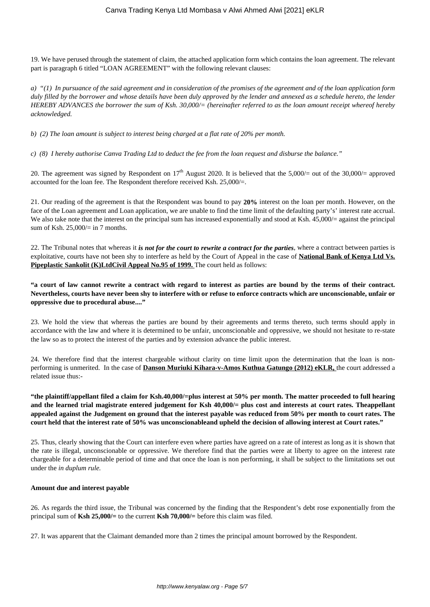19. We have perused through the statement of claim, the attached application form which contains the loan agreement. The relevant part is paragraph 6 titled "LOAN AGREEMENT" with the following relevant clauses:

*a) "(1) In pursuance of the said agreement and in consideration of the promises of the agreement and of the loan application form duly filled by the borrower and whose details have been duly approved by the lender and annexed as a schedule hereto, the lender HEREBY ADVANCES the borrower the sum of Ksh. 30,000/= (hereinafter referred to as the loan amount receipt whereof hereby acknowledged.*

*b) (2) The loan amount is subject to interest being charged at a flat rate of 20% per month.* 

*c) (8) I hereby authorise Canva Trading Ltd to deduct the fee from the loan request and disburse the balance."* 

20. The agreement was signed by Respondent on  $17<sup>th</sup>$  August 2020. It is believed that the 5,000/= out of the 30,000/= approved accounted for the loan fee. The Respondent therefore received Ksh. 25,000/=.

21. Our reading of the agreement is that the Respondent was bound to pay **20%** interest on the loan per month. However, on the face of the Loan agreement and Loan application, we are unable to find the time limit of the defaulting party's' interest rate accrual. We also take note that the interest on the principal sum has increased exponentially and stood at Ksh. 45,000/= against the principal sum of Ksh. 25,000/= in 7 months.

22. The Tribunal notes that whereas it *is not for the court to rewrite a contract for the parties*, where a contract between parties is exploitative, courts have not been shy to interfere as held by the Court of Appeal in the case of **National Bank of Kenya Ltd Vs. Pipeplastic Sankolit (K)LtdCivil Appeal No.95 of 1999.** The court held as follows:

**"a court of law cannot rewrite a contract with regard to interest as parties are bound by the terms of their contract. Nevertheless, courts have never been shy to interfere with or refuse to enforce contracts which are unconscionable, unfair or oppressive due to procedural abuse...."**

23. We hold the view that whereas the parties are bound by their agreements and terms thereto, such terms should apply in accordance with the law and where it is determined to be unfair, unconscionable and oppressive, we should not hesitate to re-state the law so as to protect the interest of the parties and by extension advance the public interest.

24. We therefore find that the interest chargeable without clarity on time limit upon the determination that the loan is nonperforming is unmerited. In the case of **Danson Muriuki Kihara-v-Amos Kuthua Gatungo (2012) eKLR,** the court addressed a related issue thus:-

**"the plaintiff/appellant filed a claim for Ksh.40,000/=plus interest at 50% per month. The matter proceeded to full hearing and the learned trial magistrate entered judgement for Ksh 40,000/= plus cost and interests at court rates. Theappellant appealed against the Judgement on ground that the interest payable was reduced from 50% per month to court rates. The court held that the interest rate of 50% was unconscionableand upheld the decision of allowing interest at Court rates."**

25. Thus, clearly showing that the Court can interfere even where parties have agreed on a rate of interest as long as it is shown that the rate is illegal, unconscionable or oppressive. We therefore find that the parties were at liberty to agree on the interest rate chargeable for a determinable period of time and that once the loan is non performing, it shall be subject to the limitations set out under the *in duplum rule.* 

#### **Amount due and interest payable**

26. As regards the third issue, the Tribunal was concerned by the finding that the Respondent's debt rose exponentially from the principal sum of **Ksh 25,000/=** to the current **Ksh 70,000/=** before this claim was filed.

27. It was apparent that the Claimant demanded more than 2 times the principal amount borrowed by the Respondent.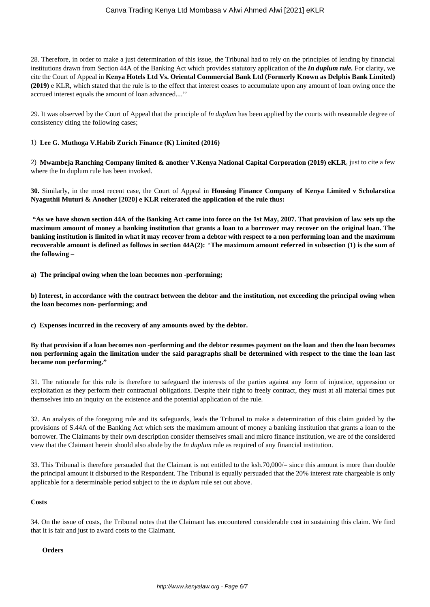28. Therefore, in order to make a just determination of this issue, the Tribunal had to rely on the principles of lending by financial institutions drawn from Section 44A of the Banking Act which provides statutory application of the *In duplum rule.* For clarity, we cite the Court of Appeal in **Kenya Hotels Ltd Vs. Oriental Commercial Bank Ltd (Formerly Known as Delphis Bank Limited) (2019)** e KLR, which stated that the rule is to the effect that interest ceases to accumulate upon any amount of loan owing once the accrued interest equals the amount of loan advanced....''

29. It was observed by the Court of Appeal that the principle of *In duplum* has been applied by the courts with reasonable degree of consistency citing the following cases;

#### 1) **Lee G. Muthoga V.Habib Zurich Finance (K) Limited (2016)**

2) **Mwambeja Ranching Company limited & another V.Kenya National Capital Corporation (2019) eKLR**, just to cite a few where the In duplum rule has been invoked.

**30.** Similarly, in the most recent case, the Court of Appeal in **Housing Finance Company of Kenya Limited v Scholarstica Nyaguthii Muturi & Another [2020] e KLR reiterated the application of the rule thus:** 

**"As we have shown section 44A of the Banking Act came into force on the 1st May, 2007. That provision of law sets up the maximum amount of money a banking institution that grants a loan to a borrower may recover on the original loan. The banking institution is limited in what it may recover from a debtor with respect to a non performing loan and the maximum recoverable amount is defined as follows in section 44A(2):** *"***The maximum amount referred in subsection (1) is the sum of the following –**

**a) The principal owing when the loan becomes non -performing;**

**b) Interest, in accordance with the contract between the debtor and the institution, not exceeding the principal owing when the loan becomes non- performing; and**

**c) Expenses incurred in the recovery of any amounts owed by the debtor.**

**By that provision if a loan becomes non -performing and the debtor resumes payment on the loan and then the loan becomes non performing again the limitation under the said paragraphs shall be determined with respect to the time the loan last became non performing."**

31. The rationale for this rule is therefore to safeguard the interests of the parties against any form of injustice, oppression or exploitation as they perform their contractual obligations. Despite their right to freely contract, they must at all material times put themselves into an inquiry on the existence and the potential application of the rule.

32. An analysis of the foregoing rule and its safeguards, leads the Tribunal to make a determination of this claim guided by the provisions of S.44A of the Banking Act which sets the maximum amount of money a banking institution that grants a loan to the borrower. The Claimants by their own description consider themselves small and micro finance institution, we are of the considered view that the Claimant herein should also abide by the *In duplum* rule as required of any financial institution.

33. This Tribunal is therefore persuaded that the Claimant is not entitled to the ksh.70,000/= since this amount is more than double the principal amount it disbursed to the Respondent. The Tribunal is equally persuaded that the 20% interest rate chargeable is only applicable for a determinable period subject to the *in duplum* rule set out above.

#### **Costs**

34. On the issue of costs, the Tribunal notes that the Claimant has encountered considerable cost in sustaining this claim. We find that it is fair and just to award costs to the Claimant.

#### **Orders**